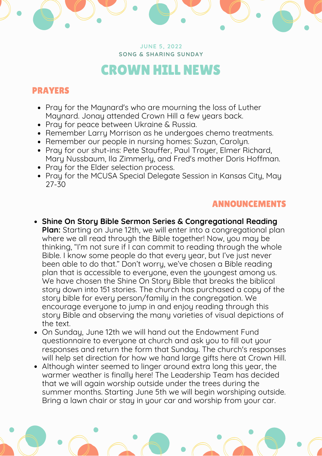**JUNE 5, 2022 SONG & SHARING SUNDAY**

## CROWN HILL NEWS

## PRAYERS

- Pray for the Maynard's who are mourning the loss of Luther Maynard. Jonay attended Crown Hill a few years back.
- Pray for peace between Ukraine & Russia.
- Remember Larry Morrison as he undergoes chemo treatments.
- Remember our people in nursing homes: Suzan, Carolyn.
- Pray for our shut-ins: Pete Stauffer, Paul Troyer, Elmer Richard, Mary Nussbaum, Ila Zimmerly, and Fred's mother Doris Hoffman.
- Pray for the Elder selection process.
- Pray for the MCUSA Special Delegate Session in Kansas City, May 27-30

## ANNOUNCEMENTS

- **Shine On Story Bible Sermon Series & Congregational Reading Plan:** Starting on June 12th, we will enter into a congregational plan where we all read through the Bible together! Now, you may be thinking, "I'm not sure if I can commit to reading through the whole Bible. I know some people do that every year, but I've just never been able to do that." Don't worry, we've chosen a Bible reading plan that is accessible to everyone, even the youngest among us. We have chosen the Shine On Story Bible that breaks the biblical story down into 151 stories. The church has purchased a copy of the story bible for every person/family in the congregation. We encourage everyone to jump in and enjoy reading through this story Bible and observing the many varieties of visual depictions of the text.
- On Sunday, June 12th we will hand out the Endowment Fund questionnaire to everyone at church and ask you to fill out your responses and return the form that Sunday. The church's responses will help set direction for how we hand large gifts here at Crown Hill.
- Although winter seemed to linger around extra long this year, the warmer weather is finally here! The Leadership Team has decided that we will again worship outside under the trees during the summer months. Starting June 5th we will begin worshiping outside. Bring a lawn chair or stay in your car and worship from your car.